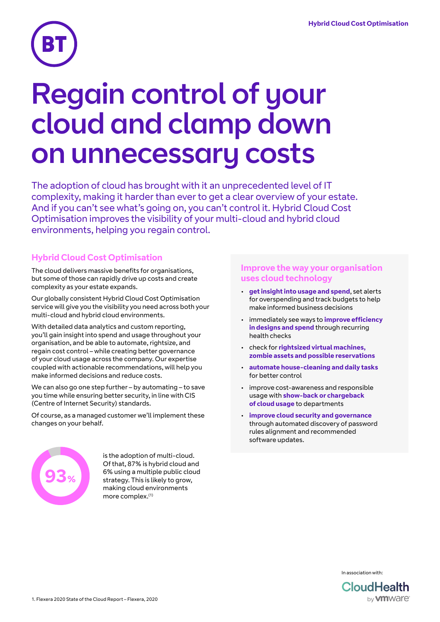

# Regain control of your cloud and clamp down on unnecessary costs

The adoption of cloud has brought with it an unprecedented level of IT complexity, making it harder than ever to get a clear overview of your estate. And if you can't see what's going on, you can't control it. Hybrid Cloud Cost Optimisation improves the visibility of your multi-cloud and hybrid cloud environments, helping you regain control.

## **Hybrid Cloud Cost Optimisation**

The cloud delivers massive benefits for organisations, but some of those can rapidly drive up costs and create complexity as your estate expands.

Our globally consistent Hybrid Cloud Cost Optimisation service will give you the visibility you need across both your multi-cloud and hybrid cloud environments.

With detailed data analytics and custom reporting, you'll gain insight into spend and usage throughout your organisation, and be able to automate, rightsize, and regain cost control – while creating better governance of your cloud usage across the company. Our expertise coupled with actionable recommendations, will help you make informed decisions and reduce costs.

We can also go one step further – by automating – to save you time while ensuring better security, in line with CIS (Centre of Internet Security) standards.

Of course, as a managed customer we'll implement these changes on your behalf.



is the adoption of multi-cloud. Of that, 87% is hybrid cloud and 6% using a multiple public cloud strategy. This is likely to grow, making cloud environments more complex.(1)

## **Improve the way your organisation uses cloud technology**

- **get insight into usage and spend**, set alerts for overspending and track budgets to help make informed business decisions
- immediately see ways to **improve efficiency in designs and spend** through recurring health checks
- check for **rightsized virtual machines, zombie assets and possible reservations**
- **automate house-cleaning and daily tasks** for better control
- improve cost-awareness and responsible usage with **show-back or chargeback of cloud usage** to departments
- **improve cloud security and governance** through automated discovery of password rules alignment and recommended software updates.



In association with: